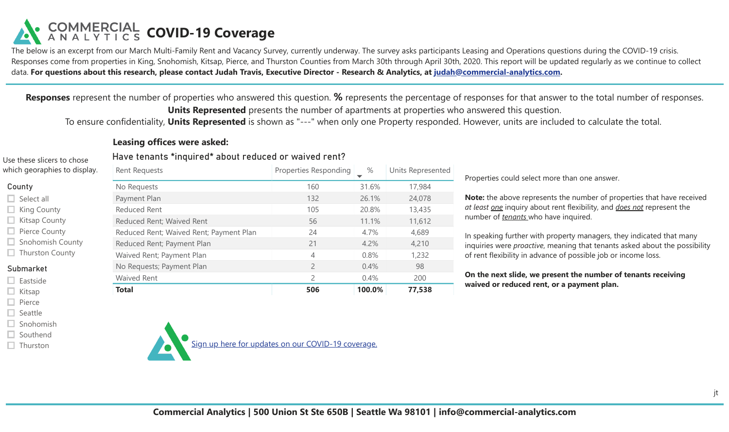The below is an excerpt from our March Multi-Family Rent and Vacancy Survey, currently underway. The survey asks participants Leasing and Operations questions during the COVID-19 crisis. Responses come from properties in King, Snohomish, Kitsap, Pierce, and Thurston Counties from March 30th through April 30th, 2020. This report will be updated regularly as we continue to collect data. **For questions about this research, please contact Judah Travis, Executive Director - Research & Analytics, at [judah@commercial-analytics.com.](mailto:judah@commercial-analytics.com)**

**Responses** represent the number of properties who answered this question. **%** represents the percentage of responses for that answer to the total number of responses. **Units Represented** presents the number of apartments at properties who answered this question.

To ensure confidentiality, **Units Represented** is shown as "---" when only one Property responded. However, units are included to calculate the total.

### **Leasing offices were asked:**

Use these slicers to chose which georap

| which georaphies to display.                      | <b>Rent Requests</b>                    | Properties Responding | $\%$   | Units Represented |  |
|---------------------------------------------------|-----------------------------------------|-----------------------|--------|-------------------|--|
| County                                            | No Requests                             | 160                   | 31.6%  | 17,984            |  |
| $\Box$ Select all                                 | Payment Plan                            | 132                   | 26.1%  | 24,078            |  |
| $\Box$ King County                                | <b>Reduced Rent</b>                     | 105                   | 20.8%  | 13,435            |  |
| $\Box$ Kitsap County                              | Reduced Rent; Waived Rent               | 56                    | 11.1%  | 11,612            |  |
| $\Box$ Pierce County                              | Reduced Rent; Waived Rent; Payment Plan | 24                    | 4.7%   | 4,689             |  |
| <b>Snohomish County</b><br>$\Box$ Thurston County | Reduced Rent; Payment Plan              | 21                    | 4.2%   | 4,210             |  |
|                                                   | Waived Rent; Payment Plan               | 4                     | 0.8%   | 1,232             |  |
| Submarket                                         | No Requests; Payment Plan               | $\overline{2}$        | 0.4%   | 98                |  |
| $\Box$ Eastside                                   | <b>Waived Rent</b>                      | $\overline{2}$        | 0.4%   | 200               |  |
| Kitsap                                            | <b>Total</b>                            | 506                   | 100.0% | 77,538            |  |

Have tenants \*inquired\* about reduced or waived rent?

Properties could select more than one answer.

**Note:** the above represents the number of properties that have received *at least one* inquiry about rent flexibility, and *does not* represent the number of *tenants* who have inquired.

In speaking further with property managers, they indicated that many inquiries were *proactive*, meaning that tenants asked about the possibility of rent flexibility in advance of possible job or income loss.

**On the next slide, we present the number of tenants receiving waived or reduced rent, or a payment plan.**

#### $\Box$  Snohomish  $\Box$  Southend

 $\Box$  Kitsap  $\Box$  Pierce  $\Box$  Seattle

 $\Box$  Thurston

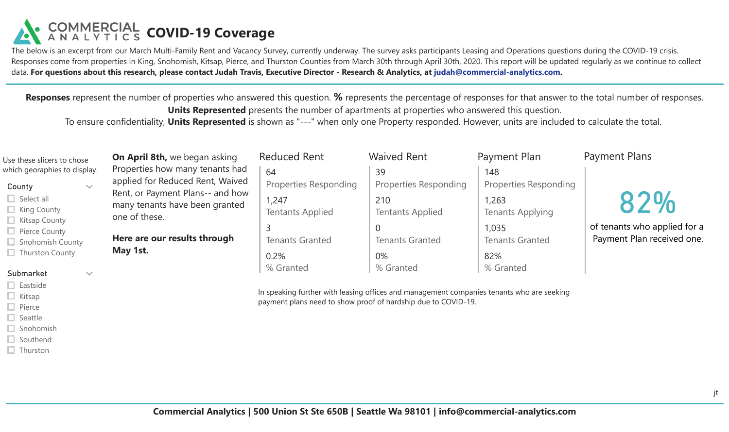The below is an excerpt from our March Multi-Family Rent and Vacancy Survey, currently underway. The survey asks participants Leasing and Operations questions during the COVID-19 crisis. Responses come from properties in King, Snohomish, Kitsap, Pierce, and Thurston Counties from March 30th through April 30th, 2020. This report will be updated regularly as we continue to collect data. **For questions about this research, please contact Judah Travis, Executive Director - Research & Analytics, at [judah@commercial-analytics.com.](mailto:judah@commercial-analytics.com)**

**Responses** represent the number of properties who answered this question. **%** represents the percentage of responses for that answer to the total number of responses. **Units Represented** presents the number of apartments at properties who answered this question.

To ensure confidentiality, **Units Represented** is shown as "---" when only one Property responded. However, units are included to calculate the total.

| Use these slicers to chose                                                                                                    | <b>On April 8th, we began asking</b>                                                                                                                       | <b>Reduced Rent</b>                                                                                                                                        | <b>Waived Rent</b>                       | Payment Plan                        | <b>Payment Plans</b>                                       |
|-------------------------------------------------------------------------------------------------------------------------------|------------------------------------------------------------------------------------------------------------------------------------------------------------|------------------------------------------------------------------------------------------------------------------------------------------------------------|------------------------------------------|-------------------------------------|------------------------------------------------------------|
| which georaphies to display.<br>County<br>$\checkmark$<br>$\Box$ Select all<br>$\Box$ King County                             | Properties how many tenants had<br>applied for Reduced Rent, Waived<br>Rent, or Payment Plans-- and how<br>many tenants have been granted<br>one of these. | 64<br><b>Properties Responding</b>                                                                                                                         | 39<br>Properties Responding              | 148<br><b>Properties Responding</b> |                                                            |
|                                                                                                                               |                                                                                                                                                            | 1,247<br><b>Tentants Applied</b>                                                                                                                           | 210<br><b>Tentants Applied</b>           | 1,263<br><b>Tenants Applying</b>    | 82%                                                        |
| $\Box$ Kitsap County<br>$\Box$ Pierce County<br>$\Box$ Snohomish County                                                       | Here are our results through                                                                                                                               | 3<br><b>Tenants Granted</b>                                                                                                                                | $\overline{0}$<br><b>Tenants Granted</b> | 1,035<br><b>Tenants Granted</b>     | of tenants who applied for a<br>Payment Plan received one. |
| $\Box$ Thurston County<br>Submarket<br>$\checkmark$                                                                           | May 1st.                                                                                                                                                   | 0.2%<br>% Granted                                                                                                                                          | 0%<br>% Granted                          | 82%<br>% Granted                    |                                                            |
| $\Box$ Eastside<br>$\Box$ Kitsap<br>$\Box$ Pierce<br>$\Box$ Seattle<br>$\Box$ Snohomish<br>$\Box$ Southend<br>$\Box$ Thurston |                                                                                                                                                            | In speaking further with leasing offices and management companies tenants who are seeking<br>payment plans need to show proof of hardship due to COVID-19. |                                          |                                     |                                                            |

jt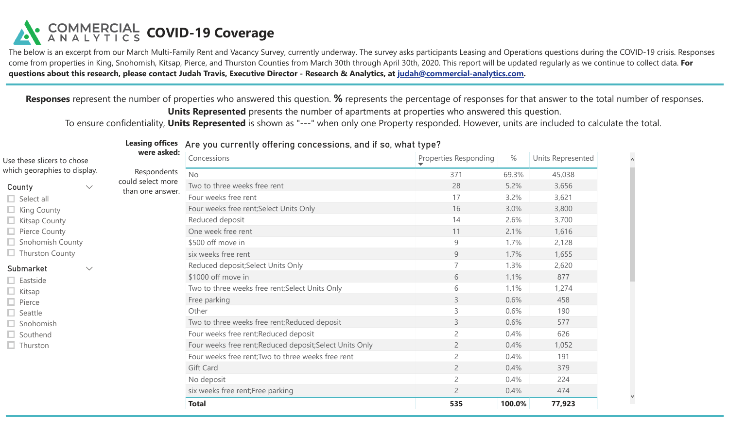The below is an excerpt from our March Multi-Family Rent and Vacancy Survey, currently underway. The survey asks participants Leasing and Operations questions during the COVID-19 crisis. Responses come from properties in King, Snohomish, Kitsap, Pierce, and Thurston Counties from March 30th through April 30th, 2020. This report will be updated regularly as we continue to collect data. **For questions about this research, please contact Judah Travis, Executive Director - Research & Analytics, at [judah@commercial-analytics.com](mailto:judah@commercial-analytics.com).**

**Responses** represent the number of properties who answered this question. **%** represents the percentage of responses for that answer to the total number of responses. **Units Represented** presents the number of apartments at properties who answered this question.

1/1

To ensure confidentiality, **Units Represented** is shown as "---" when only one Property responded. However, units are included to calculate the total.

|                                           | <b>Leasing offices</b> | Are you currently offering concessions, and if so, what type? |                       |        |                   |
|-------------------------------------------|------------------------|---------------------------------------------------------------|-----------------------|--------|-------------------|
| were asked:<br>Use these slicers to chose |                        | Concessions                                                   | Properties Responding | $\%$   | Units Represented |
| which georaphies to display.              | Respondents            | <b>No</b>                                                     | 371                   | 69.3%  | 45,038            |
| County<br>$\checkmark$                    | could select more      | Two to three weeks free rent                                  | 28                    | 5.2%   | 3,656             |
| $\Box$ Select all                         | than one answer.       | Four weeks free rent                                          | 17                    | 3.2%   | 3,621             |
| $\Box$ King County                        |                        | Four weeks free rent; Select Units Only                       | 16                    | 3.0%   | 3,800             |
| $\Box$ Kitsap County                      |                        | Reduced deposit                                               | 14                    | 2.6%   | 3,700             |
| $\Box$ Pierce County                      |                        | One week free rent                                            | 11                    | 2.1%   | 1,616             |
| $\Box$ Snohomish County                   |                        | \$500 off move in                                             | 9                     | 1.7%   | 2,128             |
| $\Box$ Thurston County                    |                        | six weeks free rent                                           | 9                     | 1.7%   | 1,655             |
| Submarket<br>$\checkmark$                 |                        | Reduced deposit; Select Units Only                            | $\overline{7}$        | 1.3%   | 2,620             |
| $\Box$ Eastside                           |                        | \$1000 off move in                                            | 6                     | 1.1%   | 877               |
| $\Box$ Kitsap                             |                        | Two to three weeks free rent;Select Units Only                | 6                     | 1.1%   | 1,274             |
| $\Box$ Pierce                             |                        | Free parking                                                  | $\mathsf{3}$          | 0.6%   | 458               |
| $\Box$ Seattle                            |                        | Other                                                         | 3                     | 0.6%   | 190               |
| $\Box$ Snohomish                          |                        | Two to three weeks free rent; Reduced deposit                 | 3                     | 0.6%   | 577               |
| $\Box$ Southend                           |                        | Four weeks free rent; Reduced deposit                         | $\overline{2}$        | 0.4%   | 626               |
| $\Box$ Thurston                           |                        | Four weeks free rent; Reduced deposit; Select Units Only      | $\overline{2}$        | 0.4%   | 1,052             |
|                                           |                        | Four weeks free rent; Two to three weeks free rent            | $\overline{2}$        | 0.4%   | 191               |
|                                           |                        | Gift Card                                                     | $\overline{2}$        | 0.4%   | 379               |
|                                           |                        | No deposit                                                    | $\overline{2}$        | 0.4%   | 224               |
|                                           |                        | six weeks free rent; Free parking                             | $\overline{2}$        | 0.4%   | 474               |
|                                           |                        | <b>Total</b>                                                  | 535                   | 100.0% | 77,923            |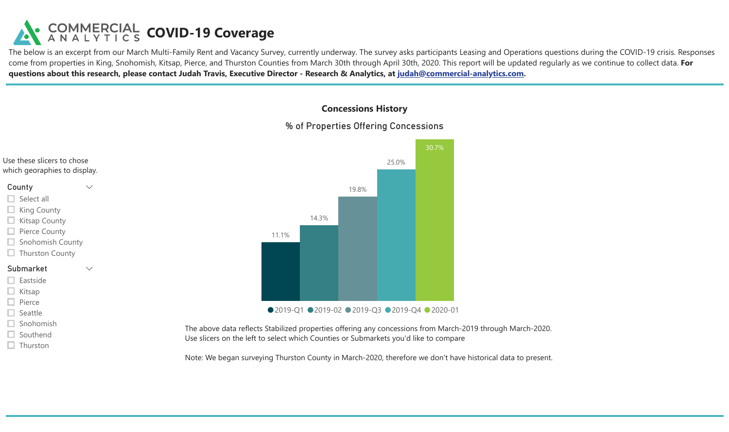The below is an excerpt from our March Multi-Family Rent and Vacancy Survey, currently underway. The survey asks participants Leasing and Operations questions during the COVID-19 crisis. Responses come from properties in King, Snohomish, Kitsap, Pierce, and Thurston Counties from March 30th through April 30th, 2020. This report will be updated regularly as we continue to collect data. **For questions about this research, please contact Judah Travis, Executive Director - Research & Analytics, at [judah@commercial-analytics.com](mailto:judah@commercial-analytics.com).**

### **Concessions History**

1/1

### % of Properties Offering Concessions

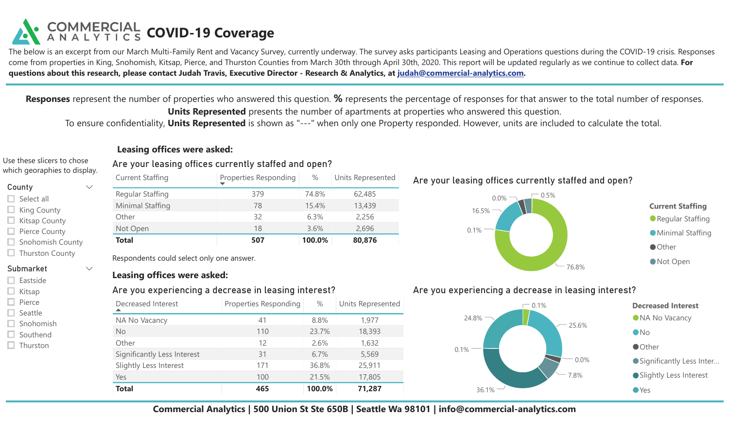The below is an excerpt from our March Multi-Family Rent and Vacancy Survey, currently underway. The survey asks participants Leasing and Operations questions during the COVID-19 crisis. Responses come from properties in King, Snohomish, Kitsap, Pierce, and Thurston Counties from March 30th through April 30th, 2020. This report will be updated regularly as we continue to collect data. **For questions about this research, please contact Judah Travis, Executive Director - Research & Analytics, at [judah@commercial-analytics.com](mailto:judah@commercial-analytics.com,subject:COVID-19%20Coverage).**

**Responses** represent the number of properties who answered this question. **%** represents the percentage of responses for that answer to the total number of responses. **Units Represented** presents the number of apartments at properties who answered this question.

To ensure confidentiality, **Units Represented** is shown as "---" when only one Property responded. However, units are included to calculate the total.

### **Leasing offices were asked:**

#### Use these slicers to chose which georaphies to display.

| County |  |
|--------|--|
|--------|--|

- Select all
- $\Box$  King County
- $\Box$  Kitsap County
- $\Box$  Pierce County
- $\Box$  Snohomish County
- $\Box$  Thurston County
- Submarket
- $\Box$  Eastside
- $\Box$  Kitsap
- $\Box$  Pierce
- $\Box$  Seattle
- Snohomish  $\Box$  Southend
- $\Box$  Thurston

#### Are your leasing offices currently staffed and open? Current Staffing Properties Responding  $\blacktriangledown$ % Units Represented Regular Staffing 379 74.8%

| Total            | 507 | 100.0% | 80,876 |
|------------------|-----|--------|--------|
| Not Open         | 18  | 3.6%   | 2,696  |
| Other            | 32  | 6.3%   | 2,256  |
| Minimal Staffing | 78  | 15.4%  | 13,439 |
| Regular Staffing | 379 | 74.8%  | 62,485 |

Respondents could select only one answer.

### **Leasing offices were asked:**

### Are you experiencing a decrease in leasing interest?

| Decreased Interest<br>▴     | Properties Responding | $\%$   | Units Represented |
|-----------------------------|-----------------------|--------|-------------------|
| NA No Vacancy               | 41                    | 8.8%   | 1,977             |
| <b>No</b>                   | 110                   | 23.7%  | 18,393            |
| Other                       | 12                    | 2.6%   | 1,632             |
| Significantly Less Interest | 31                    | 6.7%   | 5,569             |
| Slightly Less Interest      | 171                   | 36.8%  | 25,911            |
| Yes                         | 100                   | 21.5%  | 17,805            |
| <b>Total</b>                | 465                   | 100.0% | 71,287            |

Are your leasing offices currently staffed and open?



### Are you experiencing a decrease in leasing interest?



**Commercial Analytics | 500 Union St Ste 650B | Seattle Wa 98101 | info@commercial-analytics.com**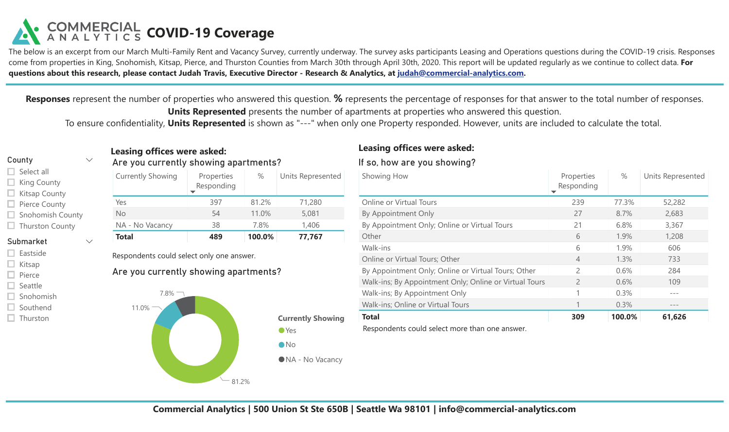The below is an excerpt from our March Multi-Family Rent and Vacancy Survey, currently underway. The survey asks participants Leasing and Operations questions during the COVID-19 crisis. Responses come from properties in King, Snohomish, Kitsap, Pierce, and Thurston Counties from March 30th through April 30th, 2020. This report will be updated regularly as we continue to collect data. **For questions about this research, please contact Judah Travis, Executive Director - Research & Analytics, at [judah@commercial-analytics.com](mailto:judah@commercial-analytics.com,subject:COVID-19%20Coverage).**

**Responses** represent the number of properties who answered this question. **%** represents the percentage of responses for that answer to the total number of responses. **Units Represented** presents the number of apartments at properties who answered this question.

To ensure confidentiality, **Units Represented** is shown as "---" when only one Property responded. However, units are included to calculate the total.

### County

### $\Box$  Select all

- $\Box$  King County
- $\Box$  Kitsap County
- $\Box$  Pierce County
- $\Box$  Snohomish County
- $\Box$  Thurston County

### Submarket

- $\Box$  Eastside
- $\Box$  Kitsap
- $\Box$  Pierce
- $\Box$  Seattle
- $\Box$  Snohomish
- $\Box$  Southend
- $\Box$  Thurston

## **Leasing offices were asked:**

### Are you currently showing apartments?

| <b>Currently Showing</b> | Properties<br>Responding | %      | Units Represented |
|--------------------------|--------------------------|--------|-------------------|
| Yes                      | 397                      | 81.2%  | 71,280            |
| No                       | 54                       | 11.0%  | 5,081             |
| NA - No Vacancy          | 38                       | 7.8%   | 1,406             |
| <b>Total</b>             | 489                      | 100.0% | 77,767            |

Respondents could select only one answer.

### Are you currently showing apartments?



## **Leasing offices were asked:**

### If so, how are you showing?

| Showing How                                            | Properties<br>Responding<br>▼ | $\%$   | Units Represented |
|--------------------------------------------------------|-------------------------------|--------|-------------------|
| Online or Virtual Tours                                | 239                           | 77.3%  | 52,282            |
| By Appointment Only                                    | 27                            | 8.7%   | 2,683             |
| By Appointment Only; Online or Virtual Tours           | 21                            | 6.8%   | 3,367             |
| Other                                                  | 6                             | 1.9%   | 1,208             |
| Walk-ins                                               | 6                             | 1.9%   | 606               |
| Online or Virtual Tours; Other                         | $\overline{4}$                | 1.3%   | 733               |
| By Appointment Only; Online or Virtual Tours; Other    | $\mathcal{P}$                 | 0.6%   | 284               |
| Walk-ins; By Appointment Only; Online or Virtual Tours | $\overline{c}$                | 0.6%   | 109               |
| Walk-ins; By Appointment Only                          | 1                             | 0.3%   |                   |
| Walk-ins; Online or Virtual Tours                      |                               | 0.3%   | ---               |
| <b>Total</b>                                           | 309                           | 100.0% | 61,626            |

Respondents could select more than one answer.